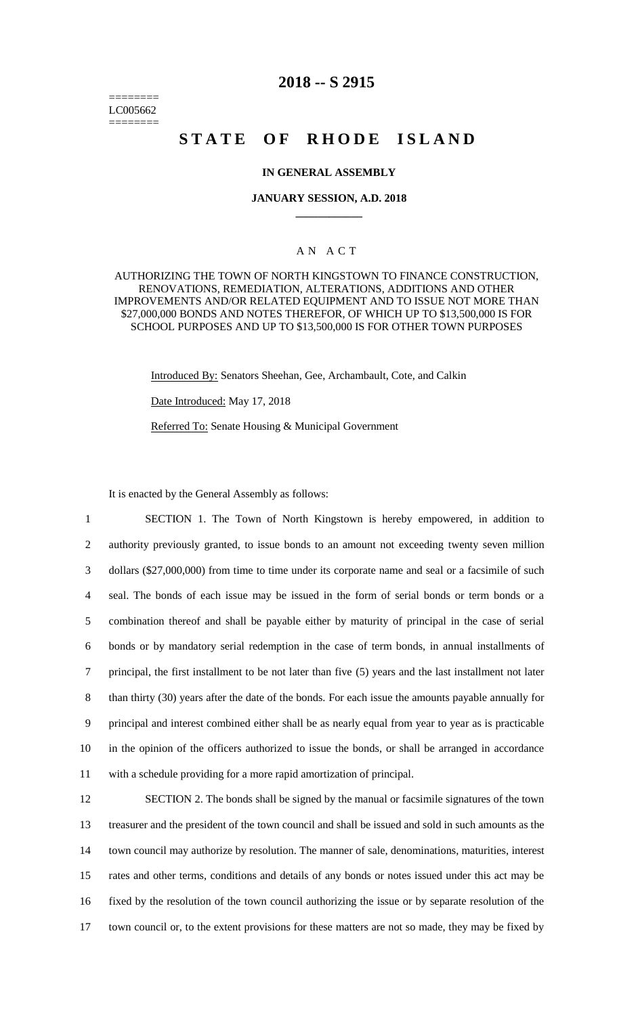======== LC005662 ========

## **2018 -- S 2915**

# STATE OF RHODE ISLAND

### **IN GENERAL ASSEMBLY**

#### **JANUARY SESSION, A.D. 2018 \_\_\_\_\_\_\_\_\_\_\_\_**

### A N A C T

AUTHORIZING THE TOWN OF NORTH KINGSTOWN TO FINANCE CONSTRUCTION, RENOVATIONS, REMEDIATION, ALTERATIONS, ADDITIONS AND OTHER IMPROVEMENTS AND/OR RELATED EQUIPMENT AND TO ISSUE NOT MORE THAN \$27,000,000 BONDS AND NOTES THEREFOR, OF WHICH UP TO \$13,500,000 IS FOR SCHOOL PURPOSES AND UP TO \$13,500,000 IS FOR OTHER TOWN PURPOSES

Introduced By: Senators Sheehan, Gee, Archambault, Cote, and Calkin

Date Introduced: May 17, 2018

Referred To: Senate Housing & Municipal Government

It is enacted by the General Assembly as follows:

 SECTION 1. The Town of North Kingstown is hereby empowered, in addition to authority previously granted, to issue bonds to an amount not exceeding twenty seven million dollars (\$27,000,000) from time to time under its corporate name and seal or a facsimile of such seal. The bonds of each issue may be issued in the form of serial bonds or term bonds or a combination thereof and shall be payable either by maturity of principal in the case of serial bonds or by mandatory serial redemption in the case of term bonds, in annual installments of principal, the first installment to be not later than five (5) years and the last installment not later than thirty (30) years after the date of the bonds. For each issue the amounts payable annually for principal and interest combined either shall be as nearly equal from year to year as is practicable in the opinion of the officers authorized to issue the bonds, or shall be arranged in accordance with a schedule providing for a more rapid amortization of principal.

 SECTION 2. The bonds shall be signed by the manual or facsimile signatures of the town treasurer and the president of the town council and shall be issued and sold in such amounts as the town council may authorize by resolution. The manner of sale, denominations, maturities, interest rates and other terms, conditions and details of any bonds or notes issued under this act may be fixed by the resolution of the town council authorizing the issue or by separate resolution of the town council or, to the extent provisions for these matters are not so made, they may be fixed by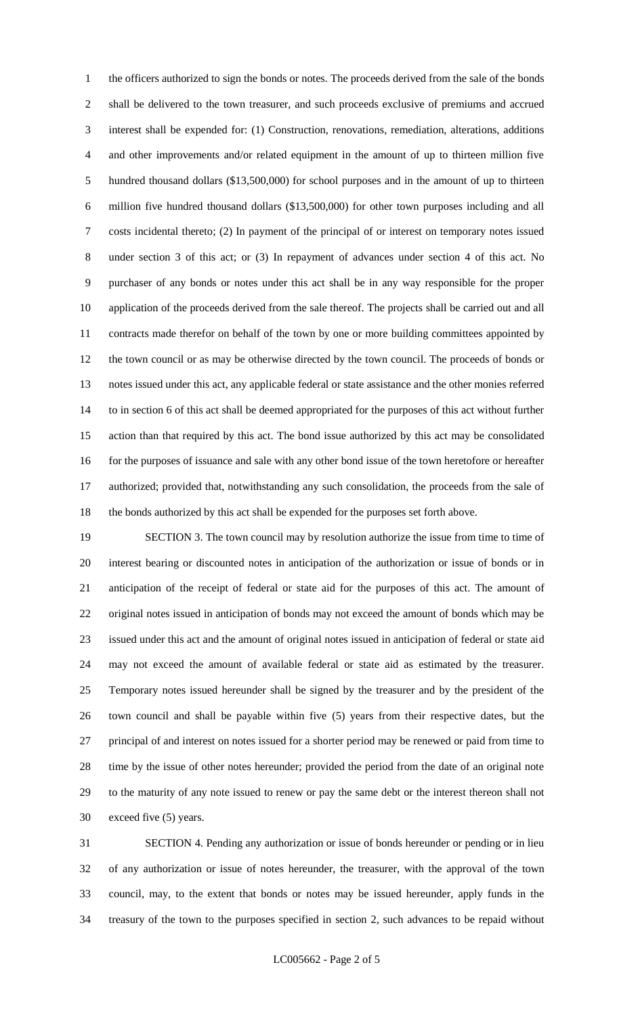the officers authorized to sign the bonds or notes. The proceeds derived from the sale of the bonds shall be delivered to the town treasurer, and such proceeds exclusive of premiums and accrued interest shall be expended for: (1) Construction, renovations, remediation, alterations, additions and other improvements and/or related equipment in the amount of up to thirteen million five hundred thousand dollars (\$13,500,000) for school purposes and in the amount of up to thirteen million five hundred thousand dollars (\$13,500,000) for other town purposes including and all costs incidental thereto; (2) In payment of the principal of or interest on temporary notes issued under section 3 of this act; or (3) In repayment of advances under section 4 of this act. No purchaser of any bonds or notes under this act shall be in any way responsible for the proper application of the proceeds derived from the sale thereof. The projects shall be carried out and all contracts made therefor on behalf of the town by one or more building committees appointed by the town council or as may be otherwise directed by the town council. The proceeds of bonds or notes issued under this act, any applicable federal or state assistance and the other monies referred to in section 6 of this act shall be deemed appropriated for the purposes of this act without further action than that required by this act. The bond issue authorized by this act may be consolidated 16 for the purposes of issuance and sale with any other bond issue of the town heretofore or hereafter authorized; provided that, notwithstanding any such consolidation, the proceeds from the sale of the bonds authorized by this act shall be expended for the purposes set forth above.

 SECTION 3. The town council may by resolution authorize the issue from time to time of interest bearing or discounted notes in anticipation of the authorization or issue of bonds or in anticipation of the receipt of federal or state aid for the purposes of this act. The amount of original notes issued in anticipation of bonds may not exceed the amount of bonds which may be issued under this act and the amount of original notes issued in anticipation of federal or state aid may not exceed the amount of available federal or state aid as estimated by the treasurer. Temporary notes issued hereunder shall be signed by the treasurer and by the president of the town council and shall be payable within five (5) years from their respective dates, but the principal of and interest on notes issued for a shorter period may be renewed or paid from time to time by the issue of other notes hereunder; provided the period from the date of an original note to the maturity of any note issued to renew or pay the same debt or the interest thereon shall not exceed five (5) years.

 SECTION 4. Pending any authorization or issue of bonds hereunder or pending or in lieu of any authorization or issue of notes hereunder, the treasurer, with the approval of the town council, may, to the extent that bonds or notes may be issued hereunder, apply funds in the treasury of the town to the purposes specified in section 2, such advances to be repaid without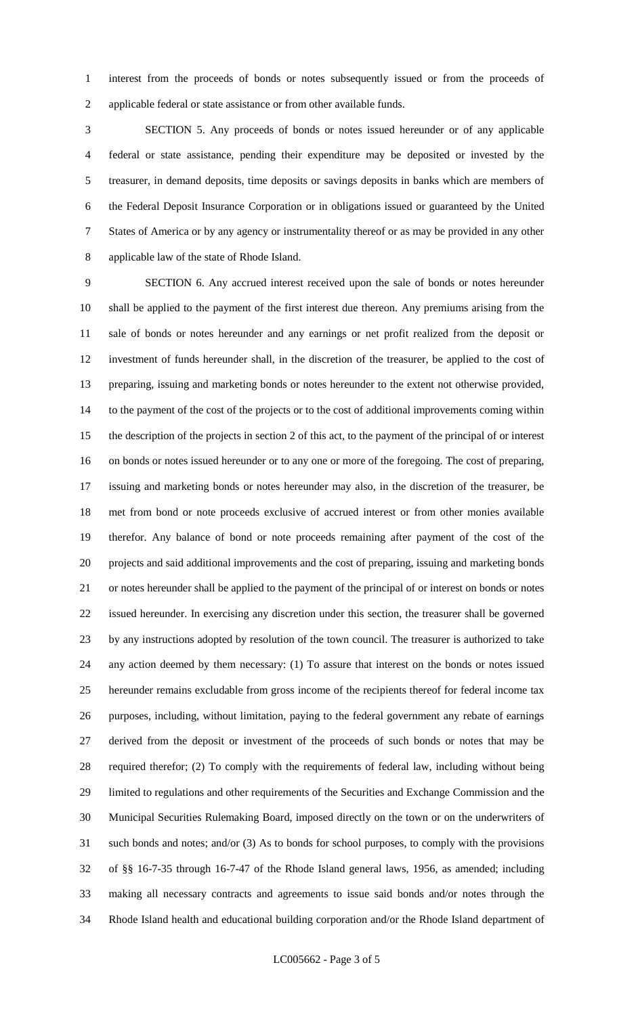interest from the proceeds of bonds or notes subsequently issued or from the proceeds of applicable federal or state assistance or from other available funds.

 SECTION 5. Any proceeds of bonds or notes issued hereunder or of any applicable federal or state assistance, pending their expenditure may be deposited or invested by the treasurer, in demand deposits, time deposits or savings deposits in banks which are members of the Federal Deposit Insurance Corporation or in obligations issued or guaranteed by the United States of America or by any agency or instrumentality thereof or as may be provided in any other applicable law of the state of Rhode Island.

 SECTION 6. Any accrued interest received upon the sale of bonds or notes hereunder shall be applied to the payment of the first interest due thereon. Any premiums arising from the sale of bonds or notes hereunder and any earnings or net profit realized from the deposit or investment of funds hereunder shall, in the discretion of the treasurer, be applied to the cost of preparing, issuing and marketing bonds or notes hereunder to the extent not otherwise provided, to the payment of the cost of the projects or to the cost of additional improvements coming within the description of the projects in section 2 of this act, to the payment of the principal of or interest on bonds or notes issued hereunder or to any one or more of the foregoing. The cost of preparing, issuing and marketing bonds or notes hereunder may also, in the discretion of the treasurer, be met from bond or note proceeds exclusive of accrued interest or from other monies available therefor. Any balance of bond or note proceeds remaining after payment of the cost of the projects and said additional improvements and the cost of preparing, issuing and marketing bonds or notes hereunder shall be applied to the payment of the principal of or interest on bonds or notes issued hereunder. In exercising any discretion under this section, the treasurer shall be governed by any instructions adopted by resolution of the town council. The treasurer is authorized to take any action deemed by them necessary: (1) To assure that interest on the bonds or notes issued hereunder remains excludable from gross income of the recipients thereof for federal income tax purposes, including, without limitation, paying to the federal government any rebate of earnings derived from the deposit or investment of the proceeds of such bonds or notes that may be required therefor; (2) To comply with the requirements of federal law, including without being limited to regulations and other requirements of the Securities and Exchange Commission and the Municipal Securities Rulemaking Board, imposed directly on the town or on the underwriters of such bonds and notes; and/or (3) As to bonds for school purposes, to comply with the provisions of §§ 16-7-35 through 16-7-47 of the Rhode Island general laws, 1956, as amended; including making all necessary contracts and agreements to issue said bonds and/or notes through the Rhode Island health and educational building corporation and/or the Rhode Island department of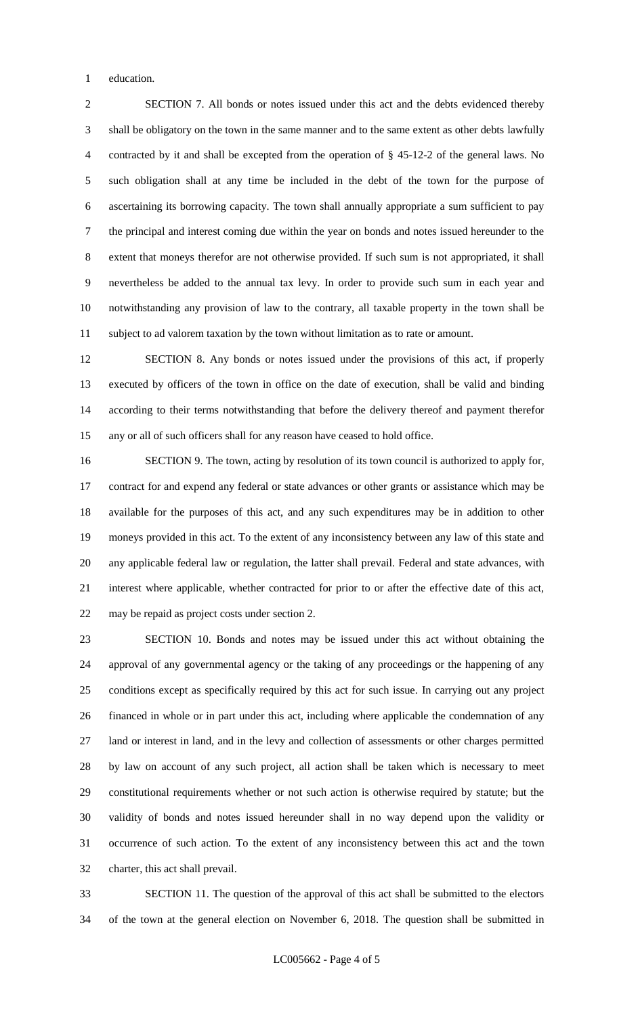education.

 SECTION 7. All bonds or notes issued under this act and the debts evidenced thereby shall be obligatory on the town in the same manner and to the same extent as other debts lawfully contracted by it and shall be excepted from the operation of § 45-12-2 of the general laws. No such obligation shall at any time be included in the debt of the town for the purpose of ascertaining its borrowing capacity. The town shall annually appropriate a sum sufficient to pay the principal and interest coming due within the year on bonds and notes issued hereunder to the extent that moneys therefor are not otherwise provided. If such sum is not appropriated, it shall nevertheless be added to the annual tax levy. In order to provide such sum in each year and notwithstanding any provision of law to the contrary, all taxable property in the town shall be subject to ad valorem taxation by the town without limitation as to rate or amount.

 SECTION 8. Any bonds or notes issued under the provisions of this act, if properly executed by officers of the town in office on the date of execution, shall be valid and binding according to their terms notwithstanding that before the delivery thereof and payment therefor any or all of such officers shall for any reason have ceased to hold office.

 SECTION 9. The town, acting by resolution of its town council is authorized to apply for, 17 contract for and expend any federal or state advances or other grants or assistance which may be available for the purposes of this act, and any such expenditures may be in addition to other moneys provided in this act. To the extent of any inconsistency between any law of this state and any applicable federal law or regulation, the latter shall prevail. Federal and state advances, with interest where applicable, whether contracted for prior to or after the effective date of this act, may be repaid as project costs under section 2.

 SECTION 10. Bonds and notes may be issued under this act without obtaining the approval of any governmental agency or the taking of any proceedings or the happening of any conditions except as specifically required by this act for such issue. In carrying out any project financed in whole or in part under this act, including where applicable the condemnation of any land or interest in land, and in the levy and collection of assessments or other charges permitted by law on account of any such project, all action shall be taken which is necessary to meet constitutional requirements whether or not such action is otherwise required by statute; but the validity of bonds and notes issued hereunder shall in no way depend upon the validity or occurrence of such action. To the extent of any inconsistency between this act and the town charter, this act shall prevail.

 SECTION 11. The question of the approval of this act shall be submitted to the electors of the town at the general election on November 6, 2018. The question shall be submitted in